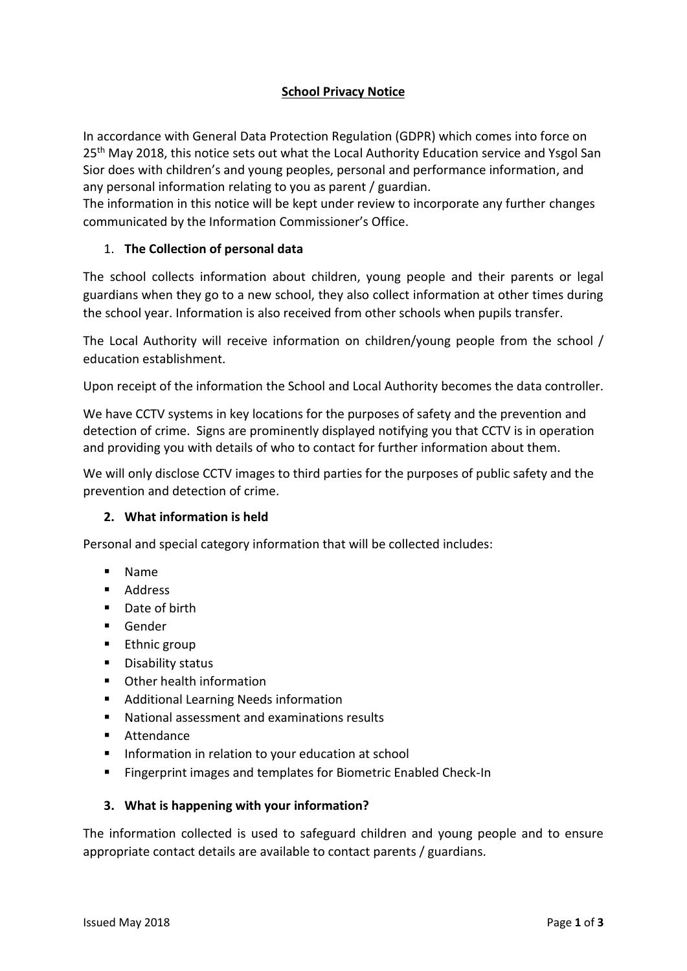# **School Privacy Notice**

In accordance with General Data Protection Regulation (GDPR) which comes into force on 25<sup>th</sup> May 2018, this notice sets out what the Local Authority Education service and Ysgol San Sior does with children's and young peoples, personal and performance information, and any personal information relating to you as parent / guardian.

The information in this notice will be kept under review to incorporate any further changes communicated by the Information Commissioner's Office.

## 1. **The Collection of personal data**

The school collects information about children, young people and their parents or legal guardians when they go to a new school, they also collect information at other times during the school year. Information is also received from other schools when pupils transfer.

The Local Authority will receive information on children/young people from the school / education establishment.

Upon receipt of the information the School and Local Authority becomes the data controller.

We have CCTV systems in key locations for the purposes of safety and the prevention and detection of crime. Signs are prominently displayed notifying you that CCTV is in operation and providing you with details of who to contact for further information about them.

We will only disclose CCTV images to third parties for the purposes of public safety and the prevention and detection of crime.

## **2. What information is held**

Personal and special category information that will be collected includes:

- Name
- **Address**
- Date of birth
- **Gender**
- **Ethnic group**
- **•** Disability status
- Other health information
- **Additional Learning Needs information**
- National assessment and examinations results
- Attendance
- **IF Information in relation to your education at school**
- Fingerprint images and templates for Biometric Enabled Check-In

#### **3. What is happening with your information?**

The information collected is used to safeguard children and young people and to ensure appropriate contact details are available to contact parents / guardians.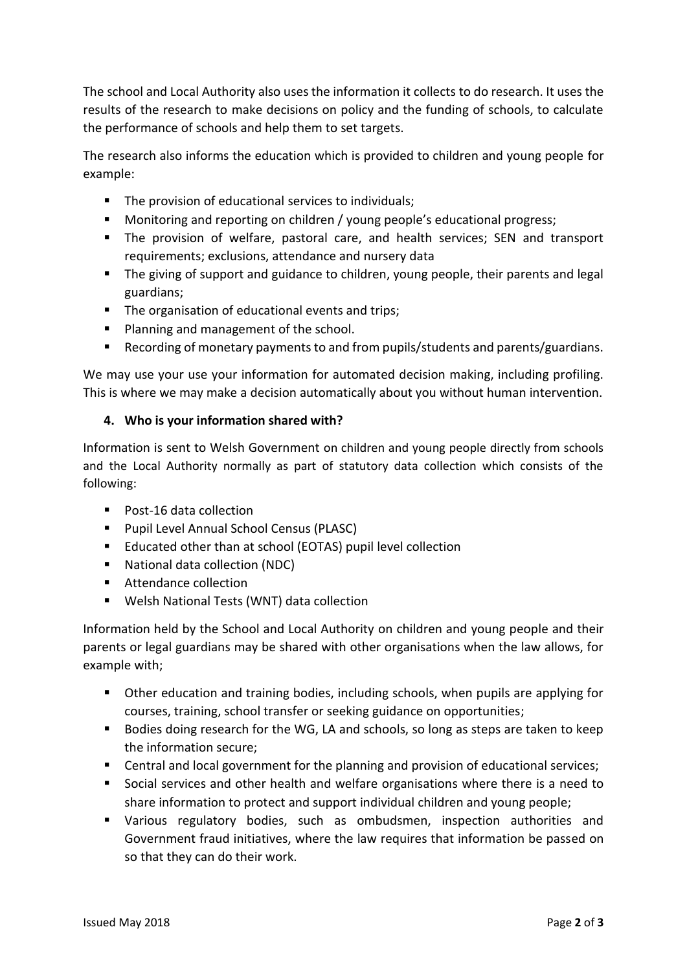The school and Local Authority also uses the information it collects to do research. It uses the results of the research to make decisions on policy and the funding of schools, to calculate the performance of schools and help them to set targets.

The research also informs the education which is provided to children and young people for example:

- The provision of educational services to individuals;
- **Monitoring and reporting on children / young people's educational progress;**
- The provision of welfare, pastoral care, and health services; SEN and transport requirements; exclusions, attendance and nursery data
- The giving of support and guidance to children, young people, their parents and legal guardians;
- The organisation of educational events and trips;
- **Planning and management of the school.**
- Recording of monetary payments to and from pupils/students and parents/guardians.

We may use your use your information for automated decision making, including profiling. This is where we may make a decision automatically about you without human intervention.

## **4. Who is your information shared with?**

Information is sent to Welsh Government on children and young people directly from schools and the Local Authority normally as part of statutory data collection which consists of the following:

- Post-16 data collection
- **Pupil Level Annual School Census (PLASC)**
- **Educated other than at school (EOTAS) pupil level collection**
- National data collection (NDC)
- **Attendance collection**
- Welsh National Tests (WNT) data collection

Information held by the School and Local Authority on children and young people and their parents or legal guardians may be shared with other organisations when the law allows, for example with;

- Other education and training bodies, including schools, when pupils are applying for courses, training, school transfer or seeking guidance on opportunities;
- Bodies doing research for the WG, LA and schools, so long as steps are taken to keep the information secure;
- Central and local government for the planning and provision of educational services;
- Social services and other health and welfare organisations where there is a need to share information to protect and support individual children and young people;
- Various regulatory bodies, such as ombudsmen, inspection authorities and Government fraud initiatives, where the law requires that information be passed on so that they can do their work.